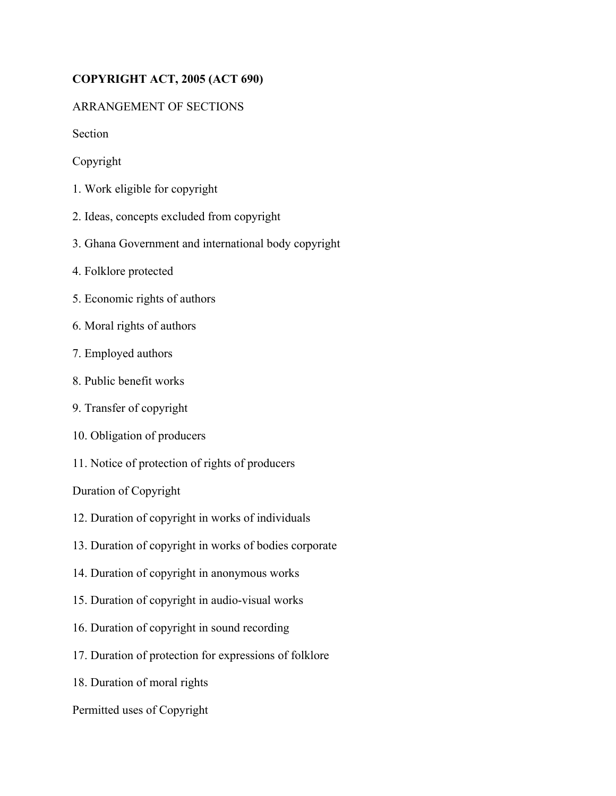# **COPYRIGHT ACT, 2005 (ACT 690)**

## ARRANGEMENT OF SECTIONS

Section

Copyright

- 1. Work eligible for copyright
- 2. Ideas, concepts excluded from copyright
- 3. Ghana Government and international body copyright
- 4. Folklore protected
- 5. Economic rights of authors
- 6. Moral rights of authors
- 7. Employed authors
- 8. Public benefit works
- 9. Transfer of copyright
- 10. Obligation of producers
- 11. Notice of protection of rights of producers

Duration of Copyright

- 12. Duration of copyright in works of individuals
- 13. Duration of copyright in works of bodies corporate
- 14. Duration of copyright in anonymous works
- 15. Duration of copyright in audio-visual works
- 16. Duration of copyright in sound recording
- 17. Duration of protection for expressions of folklore
- 18. Duration of moral rights
- Permitted uses of Copyright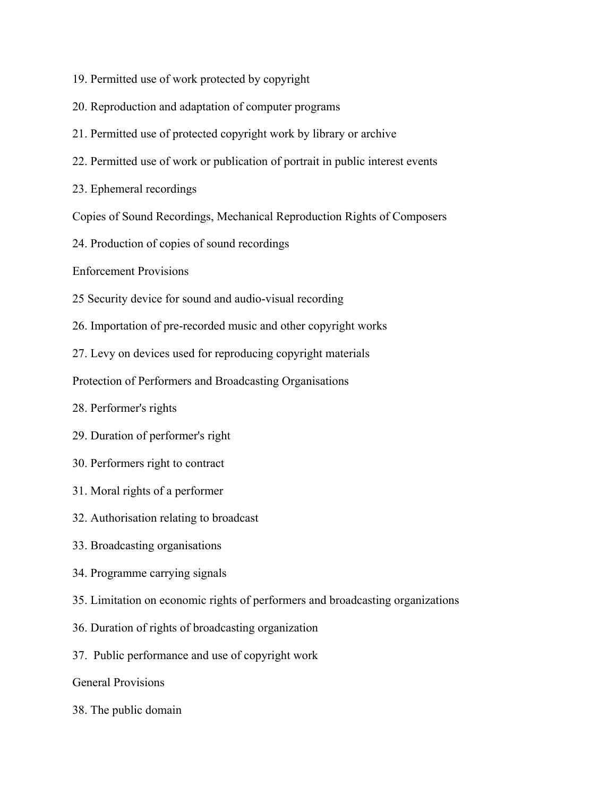- 19. Permitted use of work protected by copyright
- 20. Reproduction and adaptation of computer programs
- 21. Permitted use of protected copyright work by library or archive
- 22. Permitted use of work or publication of portrait in public interest events
- 23. Ephemeral recordings
- Copies of Sound Recordings, Mechanical Reproduction Rights of Composers
- 24. Production of copies of sound recordings
- Enforcement Provisions
- 25 Security device for sound and audio-visual recording
- 26. Importation of pre-recorded music and other copyright works
- 27. Levy on devices used for reproducing copyright materials

Protection of Performers and Broadcasting Organisations

- 28. Performer's rights
- 29. Duration of performer's right
- 30. Performers right to contract
- 31. Moral rights of a performer
- 32. Authorisation relating to broadcast
- 33. Broadcasting organisations
- 34. Programme carrying signals
- 35. Limitation on economic rights of performers and broadcasting organizations
- 36. Duration of rights of broadcasting organization
- 37. Public performance and use of copyright work
- General Provisions
- 38. The public domain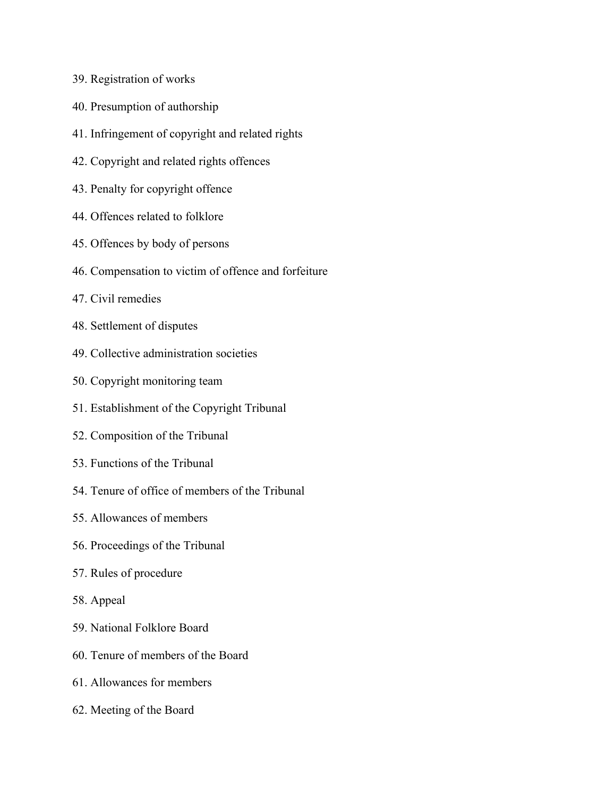- 39. Registration of works
- 40. Presumption of authorship
- 41. Infringement of copyright and related rights
- 42. Copyright and related rights offences
- 43. Penalty for copyright offence
- 44. Offences related to folklore
- 45. Offences by body of persons
- 46. Compensation to victim of offence and forfeiture
- 47. Civil remedies
- 48. Settlement of disputes
- 49. Collective administration societies
- 50. Copyright monitoring team
- 51. Establishment of the Copyright Tribunal
- 52. Composition of the Tribunal
- 53. Functions of the Tribunal
- 54. Tenure of office of members of the Tribunal
- 55. Allowances of members
- 56. Proceedings of the Tribunal
- 57. Rules of procedure
- 58. Appeal
- 59. National Folklore Board
- 60. Tenure of members of the Board
- 61. Allowances for members
- 62. Meeting of the Board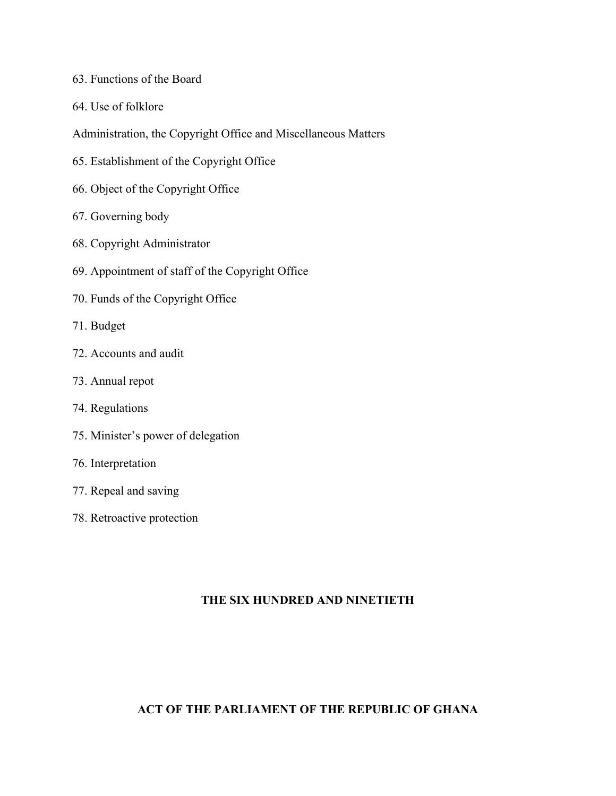- 63. Functions of the Board
- 64. Use of folklore
- Administration, the Copyright Office and Miscellaneous Matters
- 65. Establishment of the Copyright Office
- 66. Object of the Copyright Office
- 67. Governing body
- 68. Copyright Administrator
- 69. Appointment of staff of the Copyright Office
- 70. Funds of the Copyright Office
- 71. Budget
- 72. Accounts and audit
- 73. Annual repot
- 74. Regulations
- 75. Minister's power of delegation
- 76. Interpretation
- 77. Repeal and saving
- 78. Retroactive protection

## **THE SIX HUNDRED AND NINETIETH**

## **ACT OF THE PARLIAMENT OF THE REPUBLIC OF GHANA**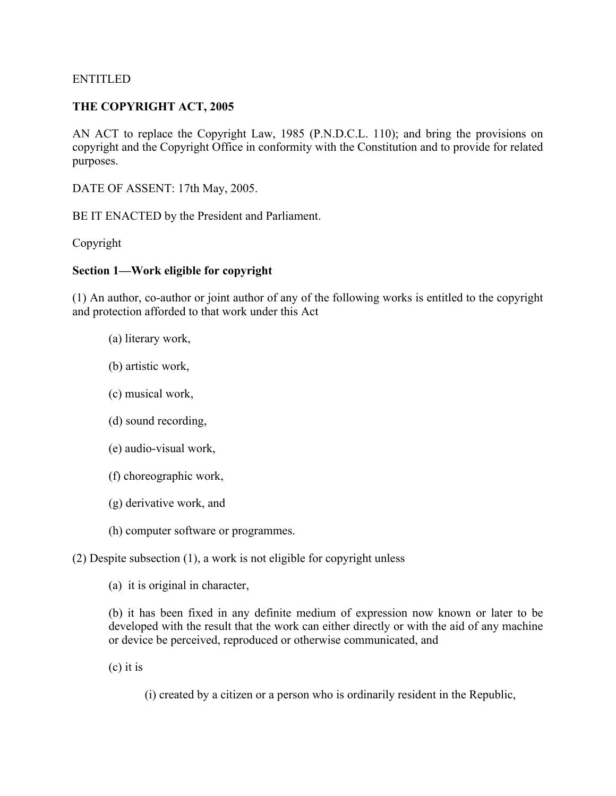#### ENTITLED

### **THE COPYRIGHT ACT, 2005**

AN ACT to replace the Copyright Law, 1985 (P.N.D.C.L. 110); and bring the provisions on copyright and the Copyright Office in conformity with the Constitution and to provide for related purposes.

DATE OF ASSENT: 17th May, 2005.

BE IT ENACTED by the President and Parliament.

Copyright

#### **Section 1—Work eligible for copyright**

(1) An author, co-author or joint author of any of the following works is entitled to the copyright and protection afforded to that work under this Act

- (a) literary work,
- (b) artistic work,
- (c) musical work,
- (d) sound recording,
- (e) audio-visual work,
- (f) choreographic work,
- (g) derivative work, and
- (h) computer software or programmes.

(2) Despite subsection (1), a work is not eligible for copyright unless

(a) it is original in character,

(b) it has been fixed in any definite medium of expression now known or later to be developed with the result that the work can either directly or with the aid of any machine or device be perceived, reproduced or otherwise communicated, and

(c) it is

(i) created by a citizen or a person who is ordinarily resident in the Republic,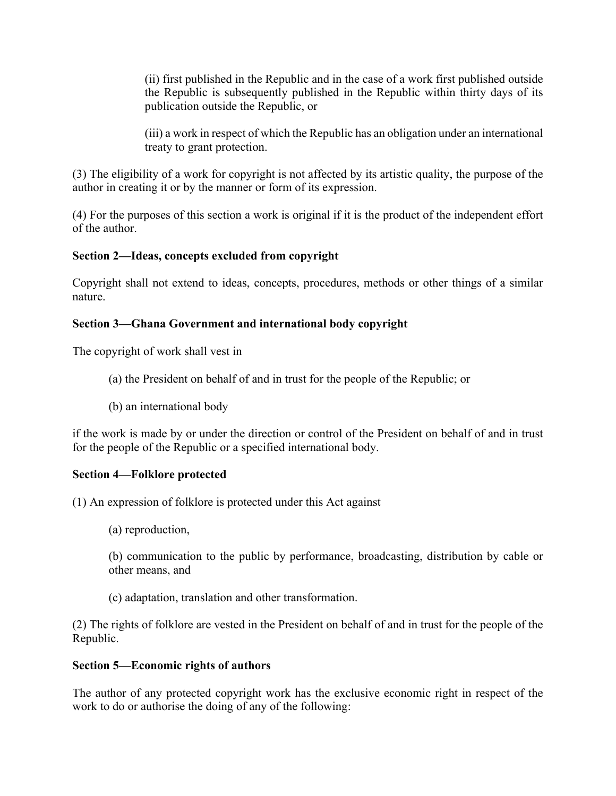(ii) first published in the Republic and in the case of a work first published outside the Republic is subsequently published in the Republic within thirty days of its publication outside the Republic, or

(iii) a work in respect of which the Republic has an obligation under an international treaty to grant protection.

(3) The eligibility of a work for copyright is not affected by its artistic quality, the purpose of the author in creating it or by the manner or form of its expression.

(4) For the purposes of this section a work is original if it is the product of the independent effort of the author.

## **Section 2—Ideas, concepts excluded from copyright**

Copyright shall not extend to ideas, concepts, procedures, methods or other things of a similar nature.

## **Section 3—Ghana Government and international body copyright**

The copyright of work shall vest in

- (a) the President on behalf of and in trust for the people of the Republic; or
- (b) an international body

if the work is made by or under the direction or control of the President on behalf of and in trust for the people of the Republic or a specified international body.

## **Section 4—Folklore protected**

(1) An expression of folklore is protected under this Act against

(a) reproduction,

(b) communication to the public by performance, broadcasting, distribution by cable or other means, and

(c) adaptation, translation and other transformation.

(2) The rights of folklore are vested in the President on behalf of and in trust for the people of the Republic.

## **Section 5—Economic rights of authors**

The author of any protected copyright work has the exclusive economic right in respect of the work to do or authorise the doing of any of the following: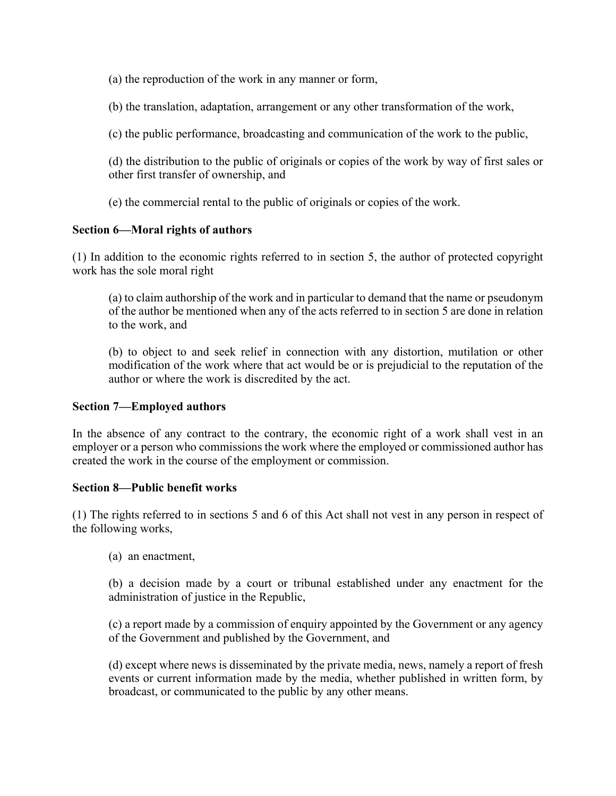(a) the reproduction of the work in any manner or form,

(b) the translation, adaptation, arrangement or any other transformation of the work,

(c) the public performance, broadcasting and communication of the work to the public,

(d) the distribution to the public of originals or copies of the work by way of first sales or other first transfer of ownership, and

(e) the commercial rental to the public of originals or copies of the work.

## **Section 6—Moral rights of authors**

(1) In addition to the economic rights referred to in section 5, the author of protected copyright work has the sole moral right

(a) to claim authorship of the work and in particular to demand that the name or pseudonym of the author be mentioned when any of the acts referred to in section 5 are done in relation to the work, and

(b) to object to and seek relief in connection with any distortion, mutilation or other modification of the work where that act would be or is prejudicial to the reputation of the author or where the work is discredited by the act.

### **Section 7—Employed authors**

In the absence of any contract to the contrary, the economic right of a work shall vest in an employer or a person who commissions the work where the employed or commissioned author has created the work in the course of the employment or commission.

### **Section 8—Public benefit works**

(1) The rights referred to in sections 5 and 6 of this Act shall not vest in any person in respect of the following works,

(a) an enactment,

(b) a decision made by a court or tribunal established under any enactment for the administration of justice in the Republic,

(c) a report made by a commission of enquiry appointed by the Government or any agency of the Government and published by the Government, and

(d) except where news is disseminated by the private media, news, namely a report of fresh events or current information made by the media, whether published in written form, by broadcast, or communicated to the public by any other means.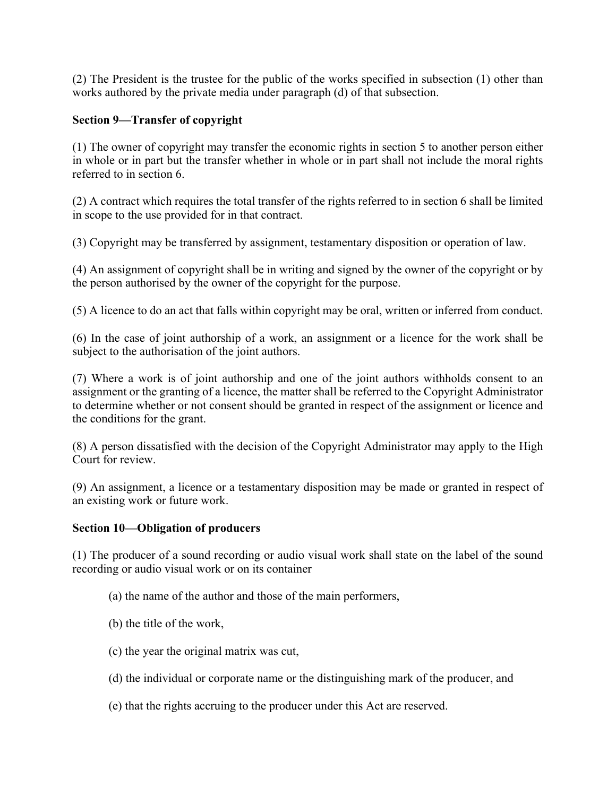(2) The President is the trustee for the public of the works specified in subsection (1) other than works authored by the private media under paragraph (d) of that subsection.

## **Section 9—Transfer of copyright**

(1) The owner of copyright may transfer the economic rights in section 5 to another person either in whole or in part but the transfer whether in whole or in part shall not include the moral rights referred to in section 6.

(2) A contract which requires the total transfer of the rights referred to in section 6 shall be limited in scope to the use provided for in that contract.

(3) Copyright may be transferred by assignment, testamentary disposition or operation of law.

(4) An assignment of copyright shall be in writing and signed by the owner of the copyright or by the person authorised by the owner of the copyright for the purpose.

(5) A licence to do an act that falls within copyright may be oral, written or inferred from conduct.

(6) In the case of joint authorship of a work, an assignment or a licence for the work shall be subject to the authorisation of the joint authors.

(7) Where a work is of joint authorship and one of the joint authors withholds consent to an assignment or the granting of a licence, the matter shall be referred to the Copyright Administrator to determine whether or not consent should be granted in respect of the assignment or licence and the conditions for the grant.

(8) A person dissatisfied with the decision of the Copyright Administrator may apply to the High Court for review.

(9) An assignment, a licence or a testamentary disposition may be made or granted in respect of an existing work or future work.

### **Section 10—Obligation of producers**

(1) The producer of a sound recording or audio visual work shall state on the label of the sound recording or audio visual work or on its container

- (a) the name of the author and those of the main performers,
- (b) the title of the work,
- (c) the year the original matrix was cut,
- (d) the individual or corporate name or the distinguishing mark of the producer, and
- (e) that the rights accruing to the producer under this Act are reserved.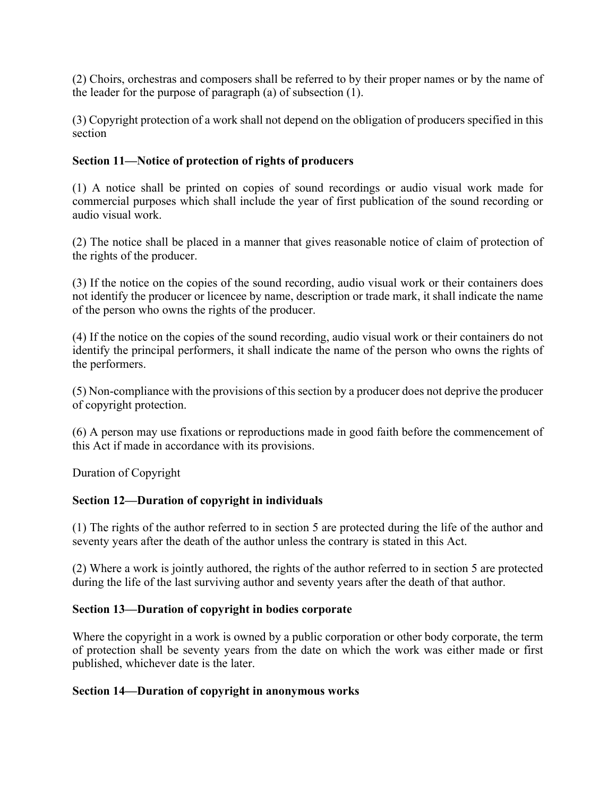(2) Choirs, orchestras and composers shall be referred to by their proper names or by the name of the leader for the purpose of paragraph (a) of subsection (1).

(3) Copyright protection of a work shall not depend on the obligation of producers specified in this section

## **Section 11—Notice of protection of rights of producers**

(1) A notice shall be printed on copies of sound recordings or audio visual work made for commercial purposes which shall include the year of first publication of the sound recording or audio visual work.

(2) The notice shall be placed in a manner that gives reasonable notice of claim of protection of the rights of the producer.

(3) If the notice on the copies of the sound recording, audio visual work or their containers does not identify the producer or licencee by name, description or trade mark, it shall indicate the name of the person who owns the rights of the producer.

(4) If the notice on the copies of the sound recording, audio visual work or their containers do not identify the principal performers, it shall indicate the name of the person who owns the rights of the performers.

(5) Non-compliance with the provisions of this section by a producer does not deprive the producer of copyright protection.

(6) A person may use fixations or reproductions made in good faith before the commencement of this Act if made in accordance with its provisions.

Duration of Copyright

### **Section 12—Duration of copyright in individuals**

(1) The rights of the author referred to in section 5 are protected during the life of the author and seventy years after the death of the author unless the contrary is stated in this Act.

(2) Where a work is jointly authored, the rights of the author referred to in section 5 are protected during the life of the last surviving author and seventy years after the death of that author.

### **Section 13—Duration of copyright in bodies corporate**

Where the copyright in a work is owned by a public corporation or other body corporate, the term of protection shall be seventy years from the date on which the work was either made or first published, whichever date is the later.

### **Section 14—Duration of copyright in anonymous works**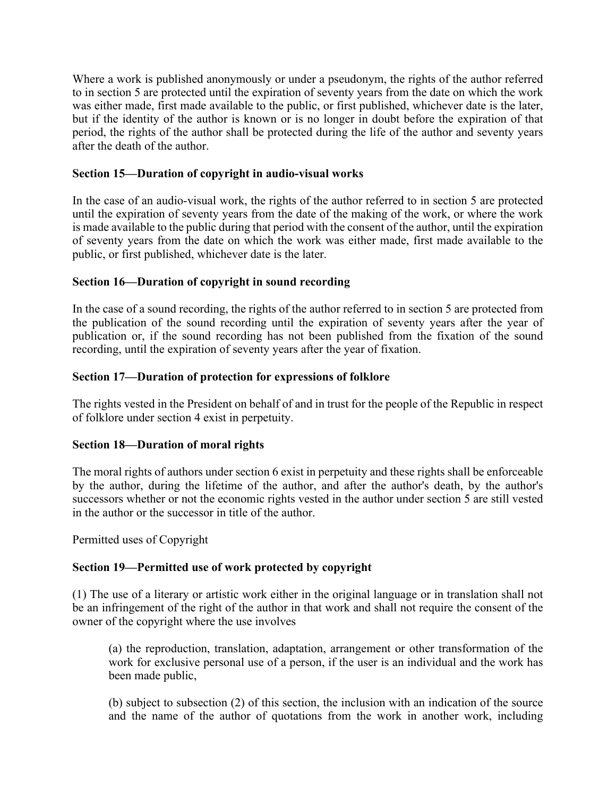Where a work is published anonymously or under a pseudonym, the rights of the author referred to in section 5 are protected until the expiration of seventy years from the date on which the work was either made, first made available to the public, or first published, whichever date is the later, but if the identity of the author is known or is no longer in doubt before the expiration of that period, the rights of the author shall be protected during the life of the author and seventy years after the death of the author.

## **Section 15—Duration of copyright in audio-visual works**

In the case of an audio-visual work, the rights of the author referred to in section 5 are protected until the expiration of seventy years from the date of the making of the work, or where the work is made available to the public during that period with the consent of the author, until the expiration of seventy years from the date on which the work was either made, first made available to the public, or first published, whichever date is the later.

## **Section 16—Duration of copyright in sound recording**

In the case of a sound recording, the rights of the author referred to in section 5 are protected from the publication of the sound recording until the expiration of seventy years after the year of publication or, if the sound recording has not been published from the fixation of the sound recording, until the expiration of seventy years after the year of fixation.

## **Section 17—Duration of protection for expressions of folklore**

The rights vested in the President on behalf of and in trust for the people of the Republic in respect of folklore under section 4 exist in perpetuity.

### **Section 18—Duration of moral rights**

The moral rights of authors under section 6 exist in perpetuity and these rights shall be enforceable by the author, during the lifetime of the author, and after the author's death, by the author's successors whether or not the economic rights vested in the author under section 5 are still vested in the author or the successor in title of the author.

Permitted uses of Copyright

## **Section 19—Permitted use of work protected by copyright**

(1) The use of a literary or artistic work either in the original language or in translation shall not be an infringement of the right of the author in that work and shall not require the consent of the owner of the copyright where the use involves

(a) the reproduction, translation, adaptation, arrangement or other transformation of the work for exclusive personal use of a person, if the user is an individual and the work has been made public,

(b) subject to subsection (2) of this section, the inclusion with an indication of the source and the name of the author of quotations from the work in another work, including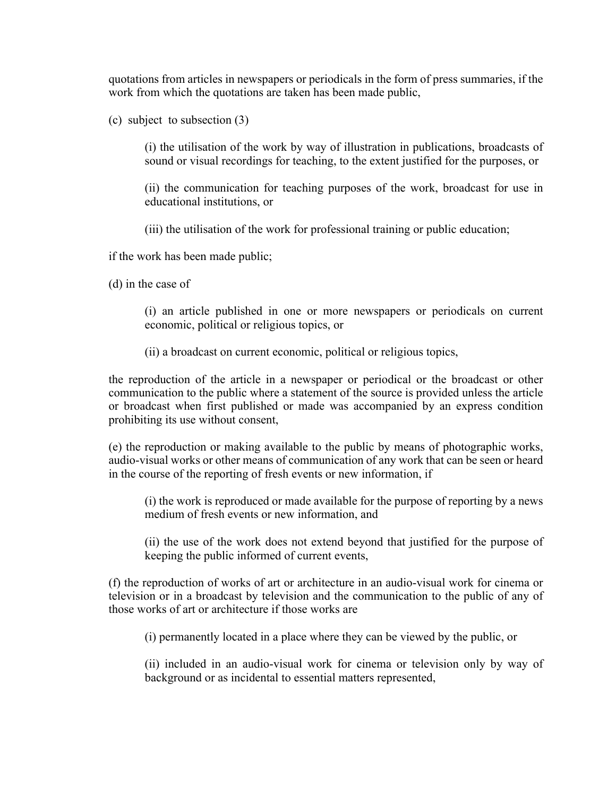quotations from articles in newspapers or periodicals in the form of press summaries, if the work from which the quotations are taken has been made public,

(c) subject to subsection (3)

(i) the utilisation of the work by way of illustration in publications, broadcasts of sound or visual recordings for teaching, to the extent justified for the purposes, or

(ii) the communication for teaching purposes of the work, broadcast for use in educational institutions, or

(iii) the utilisation of the work for professional training or public education;

if the work has been made public;

(d) in the case of

(i) an article published in one or more newspapers or periodicals on current economic, political or religious topics, or

(ii) a broadcast on current economic, political or religious topics,

the reproduction of the article in a newspaper or periodical or the broadcast or other communication to the public where a statement of the source is provided unless the article or broadcast when first published or made was accompanied by an express condition prohibiting its use without consent,

(e) the reproduction or making available to the public by means of photographic works, audio-visual works or other means of communication of any work that can be seen or heard in the course of the reporting of fresh events or new information, if

(i) the work is reproduced or made available for the purpose of reporting by a news medium of fresh events or new information, and

(ii) the use of the work does not extend beyond that justified for the purpose of keeping the public informed of current events,

(f) the reproduction of works of art or architecture in an audio-visual work for cinema or television or in a broadcast by television and the communication to the public of any of those works of art or architecture if those works are

(i) permanently located in a place where they can be viewed by the public, or

(ii) included in an audio-visual work for cinema or television only by way of background or as incidental to essential matters represented,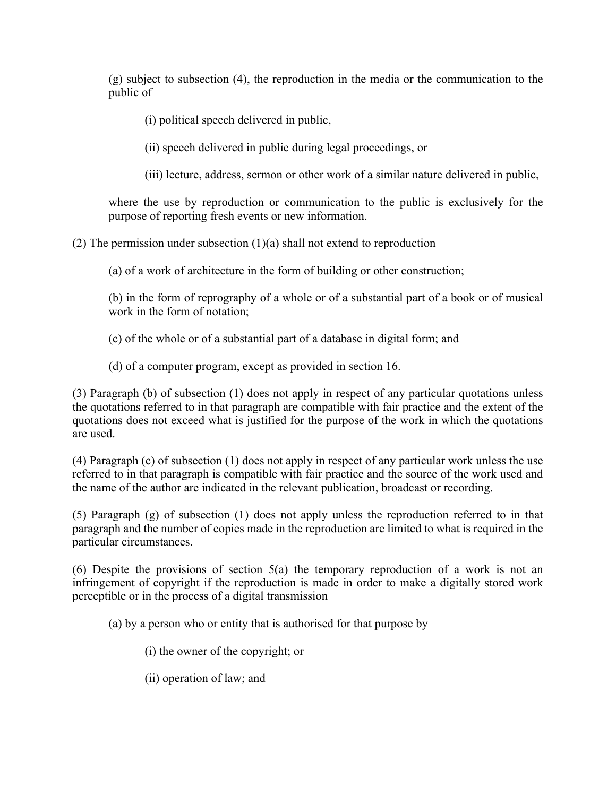(g) subject to subsection (4), the reproduction in the media or the communication to the public of

(i) political speech delivered in public,

(ii) speech delivered in public during legal proceedings, or

(iii) lecture, address, sermon or other work of a similar nature delivered in public,

where the use by reproduction or communication to the public is exclusively for the purpose of reporting fresh events or new information.

(2) The permission under subsection  $(1)(a)$  shall not extend to reproduction

(a) of a work of architecture in the form of building or other construction;

(b) in the form of reprography of a whole or of a substantial part of a book or of musical work in the form of notation;

- (c) of the whole or of a substantial part of a database in digital form; and
- (d) of a computer program, except as provided in section 16.

(3) Paragraph (b) of subsection (1) does not apply in respect of any particular quotations unless the quotations referred to in that paragraph are compatible with fair practice and the extent of the quotations does not exceed what is justified for the purpose of the work in which the quotations are used.

(4) Paragraph (c) of subsection (1) does not apply in respect of any particular work unless the use referred to in that paragraph is compatible with fair practice and the source of the work used and the name of the author are indicated in the relevant publication, broadcast or recording.

(5) Paragraph (g) of subsection (1) does not apply unless the reproduction referred to in that paragraph and the number of copies made in the reproduction are limited to what is required in the particular circumstances.

(6) Despite the provisions of section 5(a) the temporary reproduction of a work is not an infringement of copyright if the reproduction is made in order to make a digitally stored work perceptible or in the process of a digital transmission

(a) by a person who or entity that is authorised for that purpose by

- (i) the owner of the copyright; or
- (ii) operation of law; and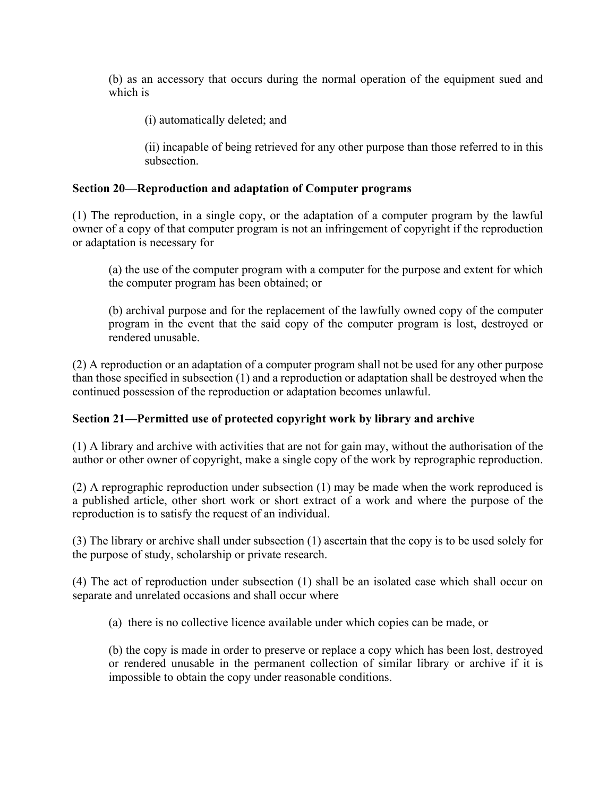(b) as an accessory that occurs during the normal operation of the equipment sued and which is

(i) automatically deleted; and

(ii) incapable of being retrieved for any other purpose than those referred to in this subsection.

## **Section 20—Reproduction and adaptation of Computer programs**

(1) The reproduction, in a single copy, or the adaptation of a computer program by the lawful owner of a copy of that computer program is not an infringement of copyright if the reproduction or adaptation is necessary for

(a) the use of the computer program with a computer for the purpose and extent for which the computer program has been obtained; or

(b) archival purpose and for the replacement of the lawfully owned copy of the computer program in the event that the said copy of the computer program is lost, destroyed or rendered unusable.

(2) A reproduction or an adaptation of a computer program shall not be used for any other purpose than those specified in subsection (1) and a reproduction or adaptation shall be destroyed when the continued possession of the reproduction or adaptation becomes unlawful.

## **Section 21—Permitted use of protected copyright work by library and archive**

(1) A library and archive with activities that are not for gain may, without the authorisation of the author or other owner of copyright, make a single copy of the work by reprographic reproduction.

(2) A reprographic reproduction under subsection (1) may be made when the work reproduced is a published article, other short work or short extract of a work and where the purpose of the reproduction is to satisfy the request of an individual.

(3) The library or archive shall under subsection (1) ascertain that the copy is to be used solely for the purpose of study, scholarship or private research.

(4) The act of reproduction under subsection (1) shall be an isolated case which shall occur on separate and unrelated occasions and shall occur where

(a) there is no collective licence available under which copies can be made, or

(b) the copy is made in order to preserve or replace a copy which has been lost, destroyed or rendered unusable in the permanent collection of similar library or archive if it is impossible to obtain the copy under reasonable conditions.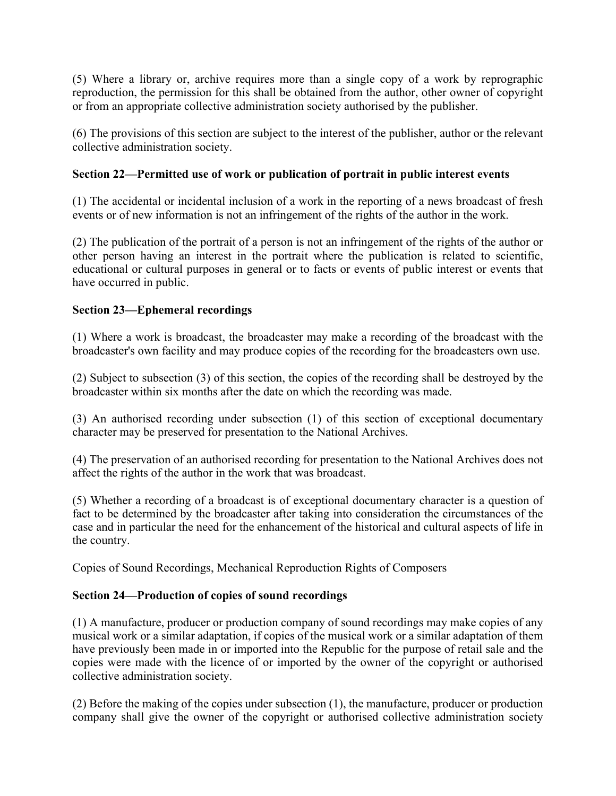(5) Where a library or, archive requires more than a single copy of a work by reprographic reproduction, the permission for this shall be obtained from the author, other owner of copyright or from an appropriate collective administration society authorised by the publisher.

(6) The provisions of this section are subject to the interest of the publisher, author or the relevant collective administration society.

# **Section 22—Permitted use of work or publication of portrait in public interest events**

(1) The accidental or incidental inclusion of a work in the reporting of a news broadcast of fresh events or of new information is not an infringement of the rights of the author in the work.

(2) The publication of the portrait of a person is not an infringement of the rights of the author or other person having an interest in the portrait where the publication is related to scientific, educational or cultural purposes in general or to facts or events of public interest or events that have occurred in public.

## **Section 23—Ephemeral recordings**

(1) Where a work is broadcast, the broadcaster may make a recording of the broadcast with the broadcaster's own facility and may produce copies of the recording for the broadcasters own use.

(2) Subject to subsection (3) of this section, the copies of the recording shall be destroyed by the broadcaster within six months after the date on which the recording was made.

(3) An authorised recording under subsection (1) of this section of exceptional documentary character may be preserved for presentation to the National Archives.

(4) The preservation of an authorised recording for presentation to the National Archives does not affect the rights of the author in the work that was broadcast.

(5) Whether a recording of a broadcast is of exceptional documentary character is a question of fact to be determined by the broadcaster after taking into consideration the circumstances of the case and in particular the need for the enhancement of the historical and cultural aspects of life in the country.

Copies of Sound Recordings, Mechanical Reproduction Rights of Composers

## **Section 24—Production of copies of sound recordings**

(1) A manufacture, producer or production company of sound recordings may make copies of any musical work or a similar adaptation, if copies of the musical work or a similar adaptation of them have previously been made in or imported into the Republic for the purpose of retail sale and the copies were made with the licence of or imported by the owner of the copyright or authorised collective administration society.

(2) Before the making of the copies under subsection (1), the manufacture, producer or production company shall give the owner of the copyright or authorised collective administration society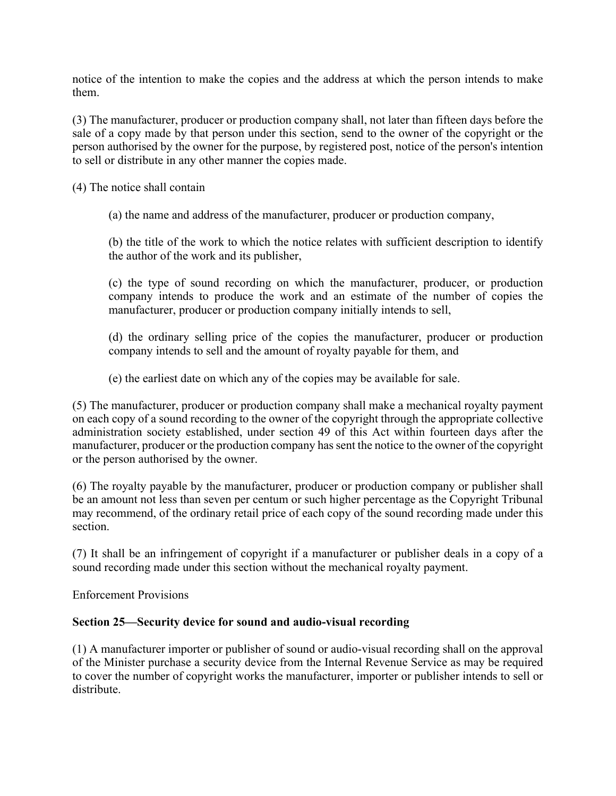notice of the intention to make the copies and the address at which the person intends to make them.

(3) The manufacturer, producer or production company shall, not later than fifteen days before the sale of a copy made by that person under this section, send to the owner of the copyright or the person authorised by the owner for the purpose, by registered post, notice of the person's intention to sell or distribute in any other manner the copies made.

(4) The notice shall contain

(a) the name and address of the manufacturer, producer or production company,

(b) the title of the work to which the notice relates with sufficient description to identify the author of the work and its publisher,

(c) the type of sound recording on which the manufacturer, producer, or production company intends to produce the work and an estimate of the number of copies the manufacturer, producer or production company initially intends to sell,

(d) the ordinary selling price of the copies the manufacturer, producer or production company intends to sell and the amount of royalty payable for them, and

(e) the earliest date on which any of the copies may be available for sale.

(5) The manufacturer, producer or production company shall make a mechanical royalty payment on each copy of a sound recording to the owner of the copyright through the appropriate collective administration society established, under section 49 of this Act within fourteen days after the manufacturer, producer or the production company has sent the notice to the owner of the copyright or the person authorised by the owner.

(6) The royalty payable by the manufacturer, producer or production company or publisher shall be an amount not less than seven per centum or such higher percentage as the Copyright Tribunal may recommend, of the ordinary retail price of each copy of the sound recording made under this section.

(7) It shall be an infringement of copyright if a manufacturer or publisher deals in a copy of a sound recording made under this section without the mechanical royalty payment.

Enforcement Provisions

## **Section 25—Security device for sound and audio-visual recording**

(1) A manufacturer importer or publisher of sound or audio-visual recording shall on the approval of the Minister purchase a security device from the Internal Revenue Service as may be required to cover the number of copyright works the manufacturer, importer or publisher intends to sell or distribute.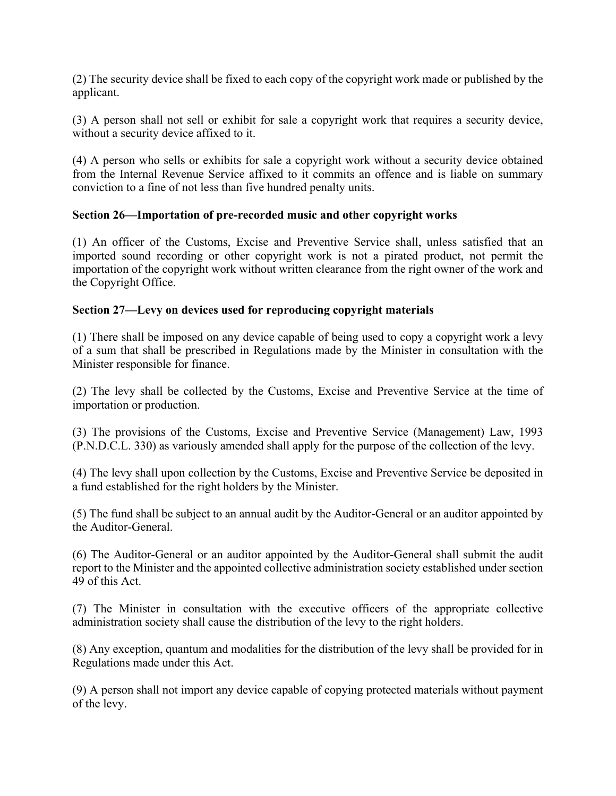(2) The security device shall be fixed to each copy of the copyright work made or published by the applicant.

(3) A person shall not sell or exhibit for sale a copyright work that requires a security device, without a security device affixed to it.

(4) A person who sells or exhibits for sale a copyright work without a security device obtained from the Internal Revenue Service affixed to it commits an offence and is liable on summary conviction to a fine of not less than five hundred penalty units.

# **Section 26—Importation of pre-recorded music and other copyright works**

(1) An officer of the Customs, Excise and Preventive Service shall, unless satisfied that an imported sound recording or other copyright work is not a pirated product, not permit the importation of the copyright work without written clearance from the right owner of the work and the Copyright Office.

# **Section 27—Levy on devices used for reproducing copyright materials**

(1) There shall be imposed on any device capable of being used to copy a copyright work a levy of a sum that shall be prescribed in Regulations made by the Minister in consultation with the Minister responsible for finance.

(2) The levy shall be collected by the Customs, Excise and Preventive Service at the time of importation or production.

(3) The provisions of the Customs, Excise and Preventive Service (Management) Law, 1993 (P.N.D.C.L. 330) as variously amended shall apply for the purpose of the collection of the levy.

(4) The levy shall upon collection by the Customs, Excise and Preventive Service be deposited in a fund established for the right holders by the Minister.

(5) The fund shall be subject to an annual audit by the Auditor-General or an auditor appointed by the Auditor-General.

(6) The Auditor-General or an auditor appointed by the Auditor-General shall submit the audit report to the Minister and the appointed collective administration society established under section 49 of this Act.

(7) The Minister in consultation with the executive officers of the appropriate collective administration society shall cause the distribution of the levy to the right holders.

(8) Any exception, quantum and modalities for the distribution of the levy shall be provided for in Regulations made under this Act.

(9) A person shall not import any device capable of copying protected materials without payment of the levy.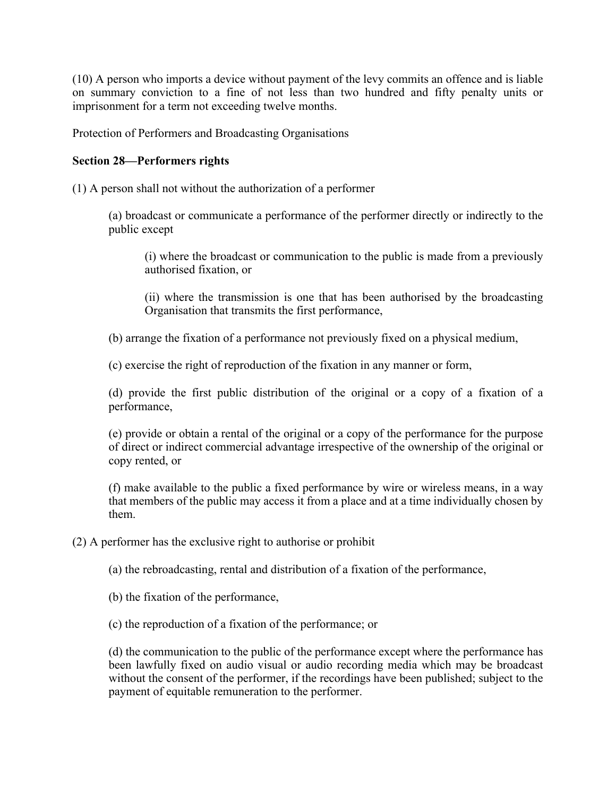(10) A person who imports a device without payment of the levy commits an offence and is liable on summary conviction to a fine of not less than two hundred and fifty penalty units or imprisonment for a term not exceeding twelve months.

Protection of Performers and Broadcasting Organisations

## **Section 28—Performers rights**

(1) A person shall not without the authorization of a performer

(a) broadcast or communicate a performance of the performer directly or indirectly to the public except

(i) where the broadcast or communication to the public is made from a previously authorised fixation, or

(ii) where the transmission is one that has been authorised by the broadcasting Organisation that transmits the first performance,

(b) arrange the fixation of a performance not previously fixed on a physical medium,

(c) exercise the right of reproduction of the fixation in any manner or form,

(d) provide the first public distribution of the original or a copy of a fixation of a performance,

(e) provide or obtain a rental of the original or a copy of the performance for the purpose of direct or indirect commercial advantage irrespective of the ownership of the original or copy rented, or

(f) make available to the public a fixed performance by wire or wireless means, in a way that members of the public may access it from a place and at a time individually chosen by them.

(2) A performer has the exclusive right to authorise or prohibit

(a) the rebroadcasting, rental and distribution of a fixation of the performance,

(b) the fixation of the performance,

(c) the reproduction of a fixation of the performance; or

(d) the communication to the public of the performance except where the performance has been lawfully fixed on audio visual or audio recording media which may be broadcast without the consent of the performer, if the recordings have been published; subject to the payment of equitable remuneration to the performer.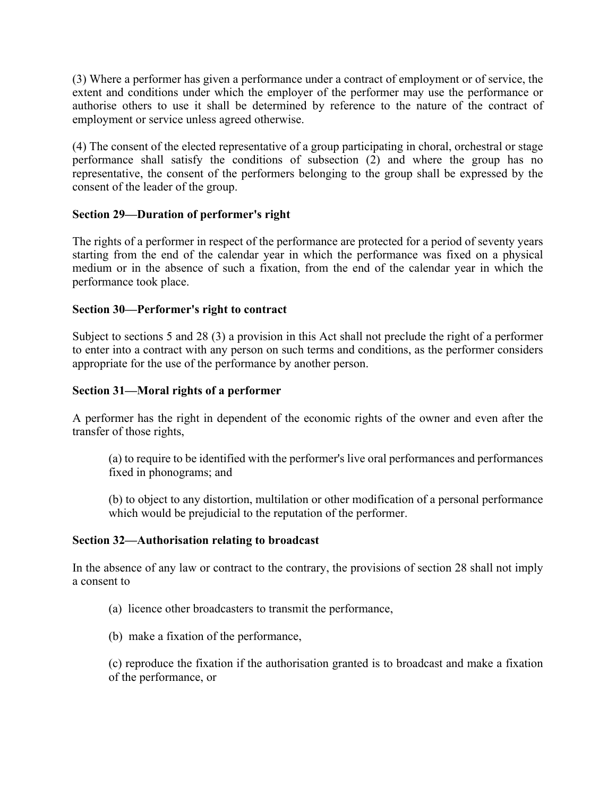(3) Where a performer has given a performance under a contract of employment or of service, the extent and conditions under which the employer of the performer may use the performance or authorise others to use it shall be determined by reference to the nature of the contract of employment or service unless agreed otherwise.

(4) The consent of the elected representative of a group participating in choral, orchestral or stage performance shall satisfy the conditions of subsection (2) and where the group has no representative, the consent of the performers belonging to the group shall be expressed by the consent of the leader of the group.

## **Section 29—Duration of performer's right**

The rights of a performer in respect of the performance are protected for a period of seventy years starting from the end of the calendar year in which the performance was fixed on a physical medium or in the absence of such a fixation, from the end of the calendar year in which the performance took place.

## **Section 30—Performer's right to contract**

Subject to sections 5 and 28 (3) a provision in this Act shall not preclude the right of a performer to enter into a contract with any person on such terms and conditions, as the performer considers appropriate for the use of the performance by another person.

## **Section 31—Moral rights of a performer**

A performer has the right in dependent of the economic rights of the owner and even after the transfer of those rights,

(a) to require to be identified with the performer's live oral performances and performances fixed in phonograms; and

(b) to object to any distortion, multilation or other modification of a personal performance which would be prejudicial to the reputation of the performer.

### **Section 32—Authorisation relating to broadcast**

In the absence of any law or contract to the contrary, the provisions of section 28 shall not imply a consent to

- (a) licence other broadcasters to transmit the performance,
- (b) make a fixation of the performance,

(c) reproduce the fixation if the authorisation granted is to broadcast and make a fixation of the performance, or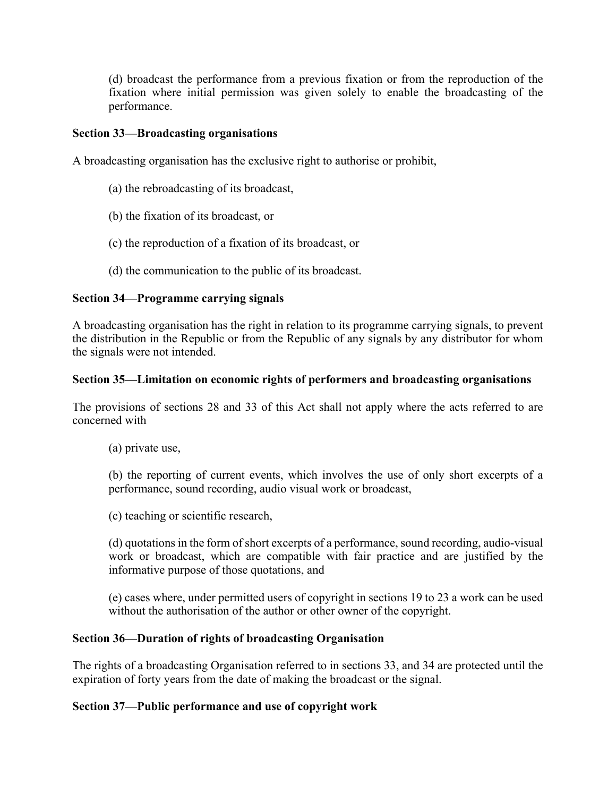(d) broadcast the performance from a previous fixation or from the reproduction of the fixation where initial permission was given solely to enable the broadcasting of the performance.

### **Section 33—Broadcasting organisations**

A broadcasting organisation has the exclusive right to authorise or prohibit,

- (a) the rebroadcasting of its broadcast,
- (b) the fixation of its broadcast, or
- (c) the reproduction of a fixation of its broadcast, or
- (d) the communication to the public of its broadcast.

## **Section 34—Programme carrying signals**

A broadcasting organisation has the right in relation to its programme carrying signals, to prevent the distribution in the Republic or from the Republic of any signals by any distributor for whom the signals were not intended.

### **Section 35—Limitation on economic rights of performers and broadcasting organisations**

The provisions of sections 28 and 33 of this Act shall not apply where the acts referred to are concerned with

(a) private use,

(b) the reporting of current events, which involves the use of only short excerpts of a performance, sound recording, audio visual work or broadcast,

(c) teaching or scientific research,

(d) quotations in the form of short excerpts of a performance, sound recording, audio-visual work or broadcast, which are compatible with fair practice and are justified by the informative purpose of those quotations, and

(e) cases where, under permitted users of copyright in sections 19 to 23 a work can be used without the authorisation of the author or other owner of the copyright.

### **Section 36—Duration of rights of broadcasting Organisation**

The rights of a broadcasting Organisation referred to in sections 33, and 34 are protected until the expiration of forty years from the date of making the broadcast or the signal.

### **Section 37—Public performance and use of copyright work**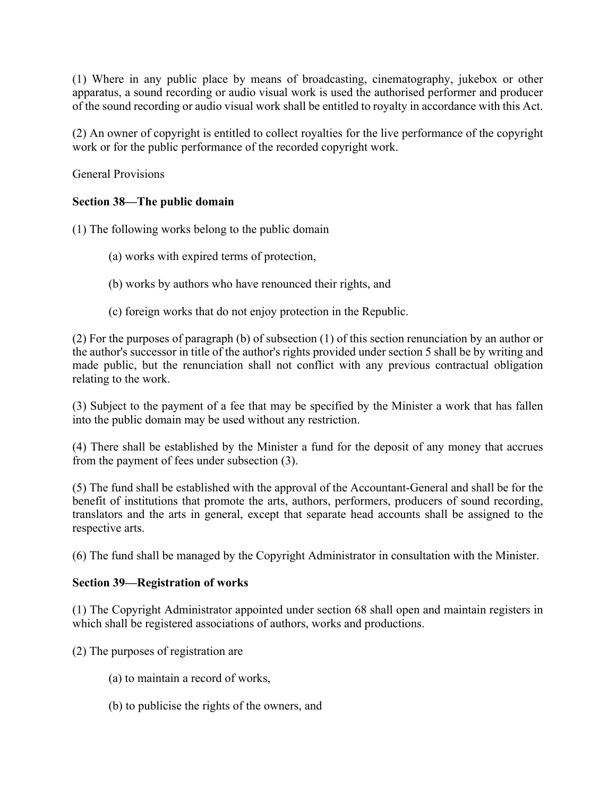(1) Where in any public place by means of broadcasting, cinematography, jukebox or other apparatus, a sound recording or audio visual work is used the authorised performer and producer of the sound recording or audio visual work shall be entitled to royalty in accordance with this Act.

(2) An owner of copyright is entitled to collect royalties for the live performance of the copyright work or for the public performance of the recorded copyright work.

General Provisions

# **Section 38—The public domain**

(1) The following works belong to the public domain

- (a) works with expired terms of protection,
- (b) works by authors who have renounced their rights, and
- (c) foreign works that do not enjoy protection in the Republic.

(2) For the purposes of paragraph (b) of subsection (1) of this section renunciation by an author or the author's successor in title of the author's rights provided under section 5 shall be by writing and made public, but the renunciation shall not conflict with any previous contractual obligation relating to the work.

(3) Subject to the payment of a fee that may be specified by the Minister a work that has fallen into the public domain may be used without any restriction.

(4) There shall be established by the Minister a fund for the deposit of any money that accrues from the payment of fees under subsection (3).

(5) The fund shall be established with the approval of the Accountant-General and shall be for the benefit of institutions that promote the arts, authors, performers, producers of sound recording, translators and the arts in general, except that separate head accounts shall be assigned to the respective arts.

(6) The fund shall be managed by the Copyright Administrator in consultation with the Minister.

## **Section 39—Registration of works**

(1) The Copyright Administrator appointed under section 68 shall open and maintain registers in which shall be registered associations of authors, works and productions.

(2) The purposes of registration are

- (a) to maintain a record of works,
- (b) to publicise the rights of the owners, and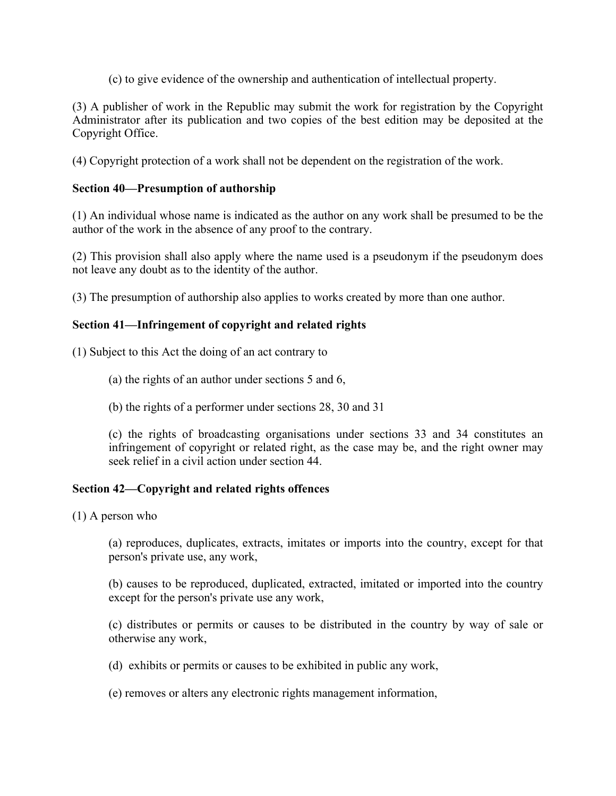(c) to give evidence of the ownership and authentication of intellectual property.

(3) A publisher of work in the Republic may submit the work for registration by the Copyright Administrator after its publication and two copies of the best edition may be deposited at the Copyright Office.

(4) Copyright protection of a work shall not be dependent on the registration of the work.

### **Section 40—Presumption of authorship**

(1) An individual whose name is indicated as the author on any work shall be presumed to be the author of the work in the absence of any proof to the contrary.

(2) This provision shall also apply where the name used is a pseudonym if the pseudonym does not leave any doubt as to the identity of the author.

(3) The presumption of authorship also applies to works created by more than one author.

## **Section 41—Infringement of copyright and related rights**

(1) Subject to this Act the doing of an act contrary to

- (a) the rights of an author under sections 5 and 6,
- (b) the rights of a performer under sections 28, 30 and 31

(c) the rights of broadcasting organisations under sections 33 and 34 constitutes an infringement of copyright or related right, as the case may be, and the right owner may seek relief in a civil action under section 44.

### **Section 42—Copyright and related rights offences**

(1) A person who

(a) reproduces, duplicates, extracts, imitates or imports into the country, except for that person's private use, any work,

(b) causes to be reproduced, duplicated, extracted, imitated or imported into the country except for the person's private use any work,

(c) distributes or permits or causes to be distributed in the country by way of sale or otherwise any work,

- (d) exhibits or permits or causes to be exhibited in public any work,
- (e) removes or alters any electronic rights management information,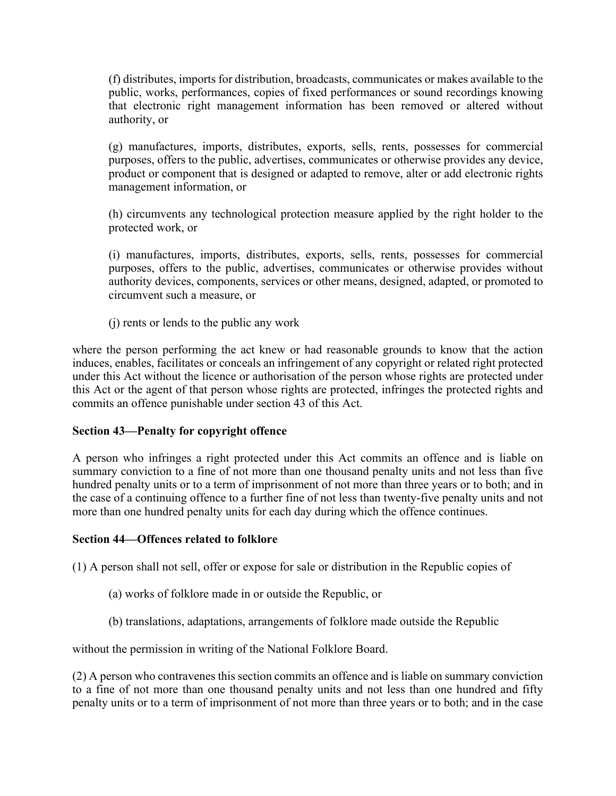(f) distributes, imports for distribution, broadcasts, communicates or makes available to the public, works, performances, copies of fixed performances or sound recordings knowing that electronic right management information has been removed or altered without authority, or

(g) manufactures, imports, distributes, exports, sells, rents, possesses for commercial purposes, offers to the public, advertises, communicates or otherwise provides any device, product or component that is designed or adapted to remove, alter or add electronic rights management information, or

(h) circumvents any technological protection measure applied by the right holder to the protected work, or

(i) manufactures, imports, distributes, exports, sells, rents, possesses for commercial purposes, offers to the public, advertises, communicates or otherwise provides without authority devices, components, services or other means, designed, adapted, or promoted to circumvent such a measure, or

(j) rents or lends to the public any work

where the person performing the act knew or had reasonable grounds to know that the action induces, enables, facilitates or conceals an infringement of any copyright or related right protected under this Act without the licence or authorisation of the person whose rights are protected under this Act or the agent of that person whose rights are protected, infringes the protected rights and commits an offence punishable under section 43 of this Act.

### **Section 43—Penalty for copyright offence**

A person who infringes a right protected under this Act commits an offence and is liable on summary conviction to a fine of not more than one thousand penalty units and not less than five hundred penalty units or to a term of imprisonment of not more than three years or to both; and in the case of a continuing offence to a further fine of not less than twenty-five penalty units and not more than one hundred penalty units for each day during which the offence continues.

### **Section 44—Offences related to folklore**

(1) A person shall not sell, offer or expose for sale or distribution in the Republic copies of

- (a) works of folklore made in or outside the Republic, or
- (b) translations, adaptations, arrangements of folklore made outside the Republic

without the permission in writing of the National Folklore Board.

(2) A person who contravenes this section commits an offence and is liable on summary conviction to a fine of not more than one thousand penalty units and not less than one hundred and fifty penalty units or to a term of imprisonment of not more than three years or to both; and in the case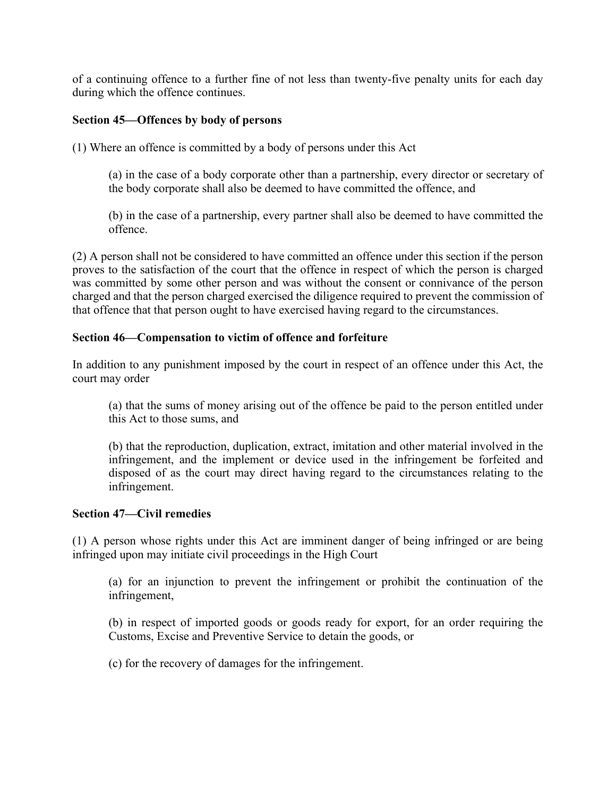of a continuing offence to a further fine of not less than twenty-five penalty units for each day during which the offence continues.

### **Section 45—Offences by body of persons**

(1) Where an offence is committed by a body of persons under this Act

(a) in the case of a body corporate other than a partnership, every director or secretary of the body corporate shall also be deemed to have committed the offence, and

(b) in the case of a partnership, every partner shall also be deemed to have committed the offence.

(2) A person shall not be considered to have committed an offence under this section if the person proves to the satisfaction of the court that the offence in respect of which the person is charged was committed by some other person and was without the consent or connivance of the person charged and that the person charged exercised the diligence required to prevent the commission of that offence that that person ought to have exercised having regard to the circumstances.

### **Section 46—Compensation to victim of offence and forfeiture**

In addition to any punishment imposed by the court in respect of an offence under this Act, the court may order

(a) that the sums of money arising out of the offence be paid to the person entitled under this Act to those sums, and

(b) that the reproduction, duplication, extract, imitation and other material involved in the infringement, and the implement or device used in the infringement be forfeited and disposed of as the court may direct having regard to the circumstances relating to the infringement.

### **Section 47—Civil remedies**

(1) A person whose rights under this Act are imminent danger of being infringed or are being infringed upon may initiate civil proceedings in the High Court

(a) for an injunction to prevent the infringement or prohibit the continuation of the infringement,

(b) in respect of imported goods or goods ready for export, for an order requiring the Customs, Excise and Preventive Service to detain the goods, or

(c) for the recovery of damages for the infringement.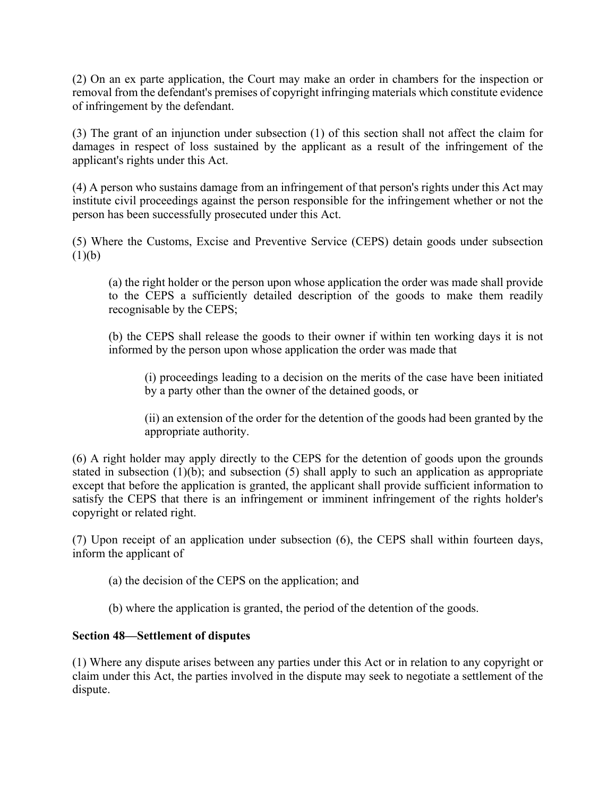(2) On an ex parte application, the Court may make an order in chambers for the inspection or removal from the defendant's premises of copyright infringing materials which constitute evidence of infringement by the defendant.

(3) The grant of an injunction under subsection (1) of this section shall not affect the claim for damages in respect of loss sustained by the applicant as a result of the infringement of the applicant's rights under this Act.

(4) A person who sustains damage from an infringement of that person's rights under this Act may institute civil proceedings against the person responsible for the infringement whether or not the person has been successfully prosecuted under this Act.

(5) Where the Customs, Excise and Preventive Service (CEPS) detain goods under subsection  $(1)(b)$ 

(a) the right holder or the person upon whose application the order was made shall provide to the CEPS a sufficiently detailed description of the goods to make them readily recognisable by the CEPS;

(b) the CEPS shall release the goods to their owner if within ten working days it is not informed by the person upon whose application the order was made that

(i) proceedings leading to a decision on the merits of the case have been initiated by a party other than the owner of the detained goods, or

(ii) an extension of the order for the detention of the goods had been granted by the appropriate authority.

(6) A right holder may apply directly to the CEPS for the detention of goods upon the grounds stated in subsection (1)(b); and subsection (5) shall apply to such an application as appropriate except that before the application is granted, the applicant shall provide sufficient information to satisfy the CEPS that there is an infringement or imminent infringement of the rights holder's copyright or related right.

(7) Upon receipt of an application under subsection (6), the CEPS shall within fourteen days, inform the applicant of

- (a) the decision of the CEPS on the application; and
- (b) where the application is granted, the period of the detention of the goods.

## **Section 48—Settlement of disputes**

(1) Where any dispute arises between any parties under this Act or in relation to any copyright or claim under this Act, the parties involved in the dispute may seek to negotiate a settlement of the dispute.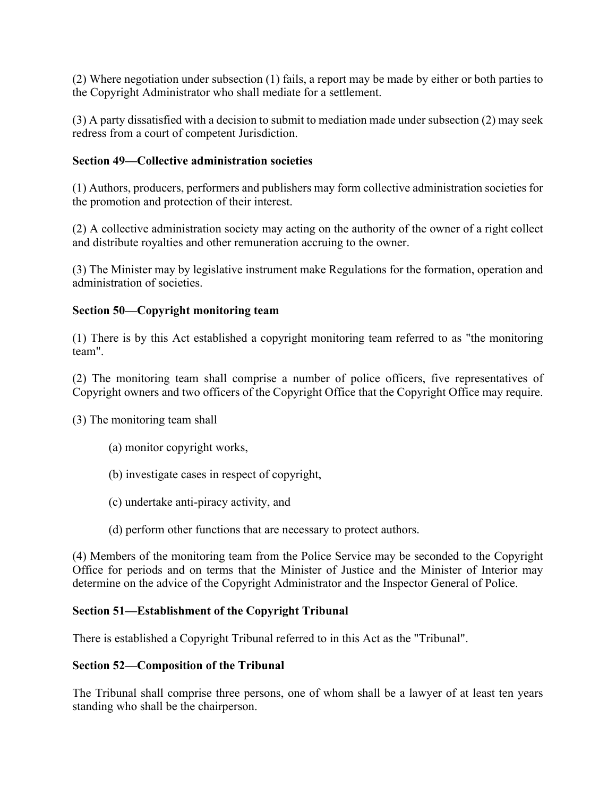(2) Where negotiation under subsection (1) fails, a report may be made by either or both parties to the Copyright Administrator who shall mediate for a settlement.

(3) A party dissatisfied with a decision to submit to mediation made under subsection (2) may seek redress from a court of competent Jurisdiction.

## **Section 49—Collective administration societies**

(1) Authors, producers, performers and publishers may form collective administration societies for the promotion and protection of their interest.

(2) A collective administration society may acting on the authority of the owner of a right collect and distribute royalties and other remuneration accruing to the owner.

(3) The Minister may by legislative instrument make Regulations for the formation, operation and administration of societies.

## **Section 50—Copyright monitoring team**

(1) There is by this Act established a copyright monitoring team referred to as "the monitoring team".

(2) The monitoring team shall comprise a number of police officers, five representatives of Copyright owners and two officers of the Copyright Office that the Copyright Office may require.

(3) The monitoring team shall

- (a) monitor copyright works,
- (b) investigate cases in respect of copyright,
- (c) undertake anti-piracy activity, and
- (d) perform other functions that are necessary to protect authors.

(4) Members of the monitoring team from the Police Service may be seconded to the Copyright Office for periods and on terms that the Minister of Justice and the Minister of Interior may determine on the advice of the Copyright Administrator and the Inspector General of Police.

### **Section 51—Establishment of the Copyright Tribunal**

There is established a Copyright Tribunal referred to in this Act as the "Tribunal".

### **Section 52—Composition of the Tribunal**

The Tribunal shall comprise three persons, one of whom shall be a lawyer of at least ten years standing who shall be the chairperson.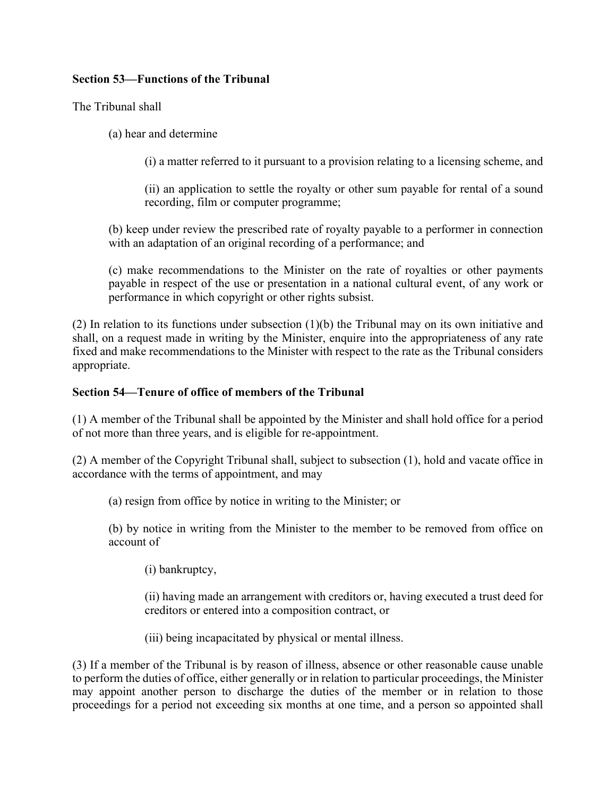## **Section 53—Functions of the Tribunal**

The Tribunal shall

(a) hear and determine

(i) a matter referred to it pursuant to a provision relating to a licensing scheme, and

(ii) an application to settle the royalty or other sum payable for rental of a sound recording, film or computer programme;

(b) keep under review the prescribed rate of royalty payable to a performer in connection with an adaptation of an original recording of a performance; and

(c) make recommendations to the Minister on the rate of royalties or other payments payable in respect of the use or presentation in a national cultural event, of any work or performance in which copyright or other rights subsist.

(2) In relation to its functions under subsection (1)(b) the Tribunal may on its own initiative and shall, on a request made in writing by the Minister, enquire into the appropriateness of any rate fixed and make recommendations to the Minister with respect to the rate as the Tribunal considers appropriate.

### **Section 54—Tenure of office of members of the Tribunal**

(1) A member of the Tribunal shall be appointed by the Minister and shall hold office for a period of not more than three years, and is eligible for re-appointment.

(2) A member of the Copyright Tribunal shall, subject to subsection (1), hold and vacate office in accordance with the terms of appointment, and may

(a) resign from office by notice in writing to the Minister; or

(b) by notice in writing from the Minister to the member to be removed from office on account of

(i) bankruptcy,

(ii) having made an arrangement with creditors or, having executed a trust deed for creditors or entered into a composition contract, or

(iii) being incapacitated by physical or mental illness.

(3) If a member of the Tribunal is by reason of illness, absence or other reasonable cause unable to perform the duties of office, either generally or in relation to particular proceedings, the Minister may appoint another person to discharge the duties of the member or in relation to those proceedings for a period not exceeding six months at one time, and a person so appointed shall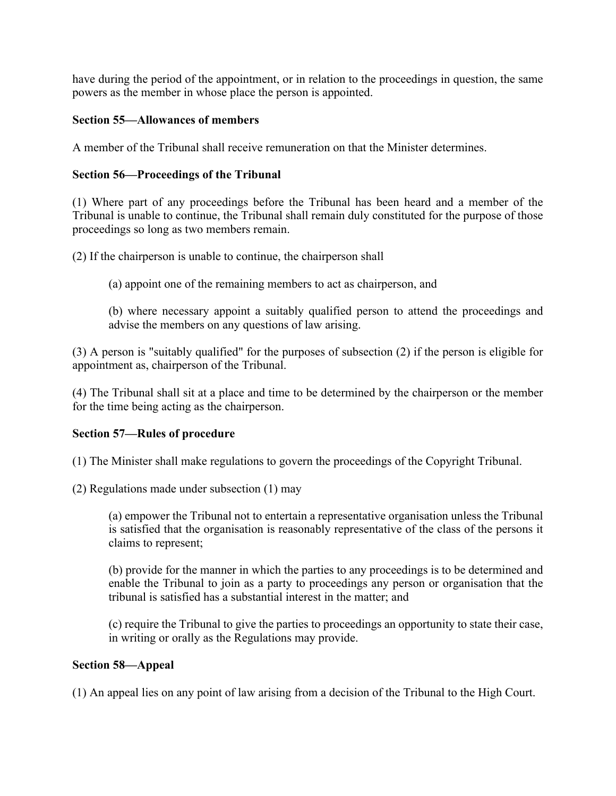have during the period of the appointment, or in relation to the proceedings in question, the same powers as the member in whose place the person is appointed.

## **Section 55—Allowances of members**

A member of the Tribunal shall receive remuneration on that the Minister determines.

## **Section 56—Proceedings of the Tribunal**

(1) Where part of any proceedings before the Tribunal has been heard and a member of the Tribunal is unable to continue, the Tribunal shall remain duly constituted for the purpose of those proceedings so long as two members remain.

(2) If the chairperson is unable to continue, the chairperson shall

(a) appoint one of the remaining members to act as chairperson, and

(b) where necessary appoint a suitably qualified person to attend the proceedings and advise the members on any questions of law arising.

(3) A person is "suitably qualified" for the purposes of subsection (2) if the person is eligible for appointment as, chairperson of the Tribunal.

(4) The Tribunal shall sit at a place and time to be determined by the chairperson or the member for the time being acting as the chairperson.

### **Section 57—Rules of procedure**

(1) The Minister shall make regulations to govern the proceedings of the Copyright Tribunal.

(2) Regulations made under subsection (1) may

(a) empower the Tribunal not to entertain a representative organisation unless the Tribunal is satisfied that the organisation is reasonably representative of the class of the persons it claims to represent;

(b) provide for the manner in which the parties to any proceedings is to be determined and enable the Tribunal to join as a party to proceedings any person or organisation that the tribunal is satisfied has a substantial interest in the matter; and

(c) require the Tribunal to give the parties to proceedings an opportunity to state their case, in writing or orally as the Regulations may provide.

### **Section 58—Appeal**

(1) An appeal lies on any point of law arising from a decision of the Tribunal to the High Court.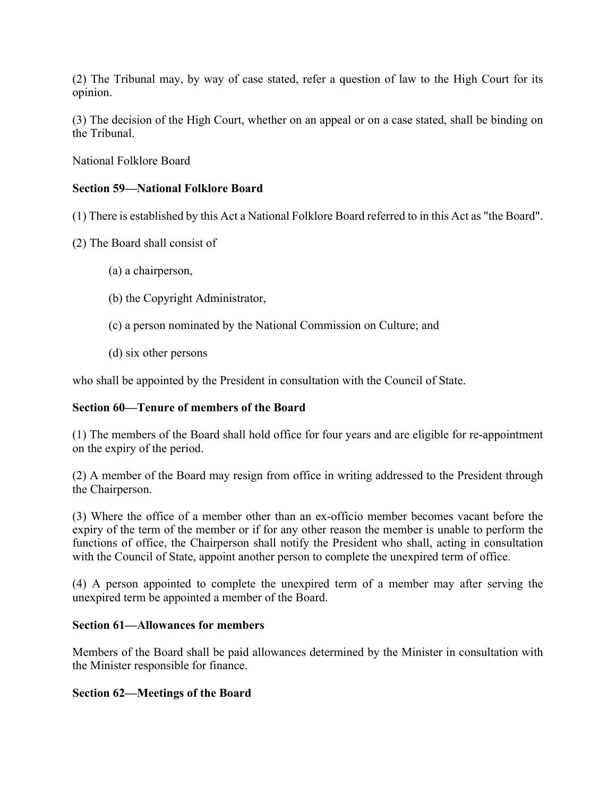(2) The Tribunal may, by way of case stated, refer a question of law to the High Court for its opinion.

(3) The decision of the High Court, whether on an appeal or on a case stated, shall be binding on the Tribunal.

National Folklore Board

## **Section 59—National Folklore Board**

(1) There is established by this Act a National Folklore Board referred to in this Act as "the Board".

- (2) The Board shall consist of
	- (a) a chairperson,
	- (b) the Copyright Administrator,
	- (c) a person nominated by the National Commission on Culture; and
	- (d) six other persons

who shall be appointed by the President in consultation with the Council of State.

### **Section 60—Tenure of members of the Board**

(1) The members of the Board shall hold office for four years and are eligible for re-appointment on the expiry of the period.

(2) A member of the Board may resign from office in writing addressed to the President through the Chairperson.

(3) Where the office of a member other than an ex-officio member becomes vacant before the expiry of the term of the member or if for any other reason the member is unable to perform the functions of office, the Chairperson shall notify the President who shall, acting in consultation with the Council of State, appoint another person to complete the unexpired term of office.

(4) A person appointed to complete the unexpired term of a member may after serving the unexpired term be appointed a member of the Board.

### **Section 61—Allowances for members**

Members of the Board shall be paid allowances determined by the Minister in consultation with the Minister responsible for finance.

### **Section 62—Meetings of the Board**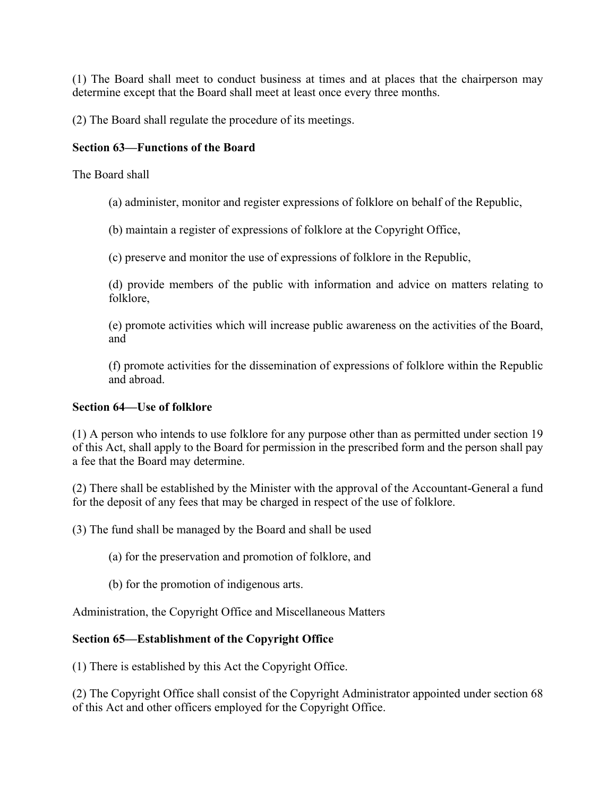(1) The Board shall meet to conduct business at times and at places that the chairperson may determine except that the Board shall meet at least once every three months.

(2) The Board shall regulate the procedure of its meetings.

# **Section 63—Functions of the Board**

The Board shall

(a) administer, monitor and register expressions of folklore on behalf of the Republic,

(b) maintain a register of expressions of folklore at the Copyright Office,

(c) preserve and monitor the use of expressions of folklore in the Republic,

(d) provide members of the public with information and advice on matters relating to folklore,

(e) promote activities which will increase public awareness on the activities of the Board, and

(f) promote activities for the dissemination of expressions of folklore within the Republic and abroad.

## **Section 64—Use of folklore**

(1) A person who intends to use folklore for any purpose other than as permitted under section 19 of this Act, shall apply to the Board for permission in the prescribed form and the person shall pay a fee that the Board may determine.

(2) There shall be established by the Minister with the approval of the Accountant-General a fund for the deposit of any fees that may be charged in respect of the use of folklore.

(3) The fund shall be managed by the Board and shall be used

(a) for the preservation and promotion of folklore, and

(b) for the promotion of indigenous arts.

Administration, the Copyright Office and Miscellaneous Matters

# **Section 65—Establishment of the Copyright Office**

(1) There is established by this Act the Copyright Office.

(2) The Copyright Office shall consist of the Copyright Administrator appointed under section 68 of this Act and other officers employed for the Copyright Office.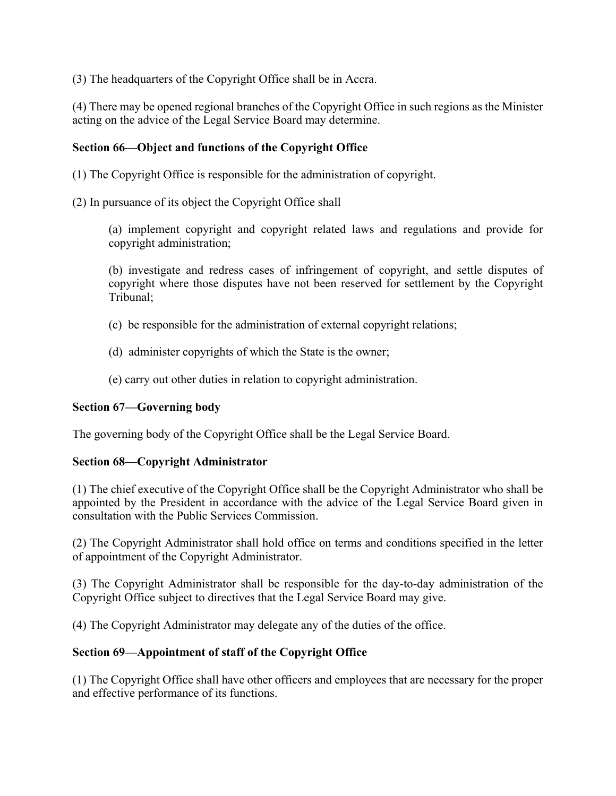(3) The headquarters of the Copyright Office shall be in Accra.

(4) There may be opened regional branches of the Copyright Office in such regions as the Minister acting on the advice of the Legal Service Board may determine.

## **Section 66—Object and functions of the Copyright Office**

(1) The Copyright Office is responsible for the administration of copyright.

(2) In pursuance of its object the Copyright Office shall

(a) implement copyright and copyright related laws and regulations and provide for copyright administration;

(b) investigate and redress cases of infringement of copyright, and settle disputes of copyright where those disputes have not been reserved for settlement by the Copyright Tribunal;

- (c) be responsible for the administration of external copyright relations;
- (d) administer copyrights of which the State is the owner;
- (e) carry out other duties in relation to copyright administration.

## **Section 67—Governing body**

The governing body of the Copyright Office shall be the Legal Service Board.

### **Section 68—Copyright Administrator**

(1) The chief executive of the Copyright Office shall be the Copyright Administrator who shall be appointed by the President in accordance with the advice of the Legal Service Board given in consultation with the Public Services Commission.

(2) The Copyright Administrator shall hold office on terms and conditions specified in the letter of appointment of the Copyright Administrator.

(3) The Copyright Administrator shall be responsible for the day-to-day administration of the Copyright Office subject to directives that the Legal Service Board may give.

(4) The Copyright Administrator may delegate any of the duties of the office.

### **Section 69—Appointment of staff of the Copyright Office**

(1) The Copyright Office shall have other officers and employees that are necessary for the proper and effective performance of its functions.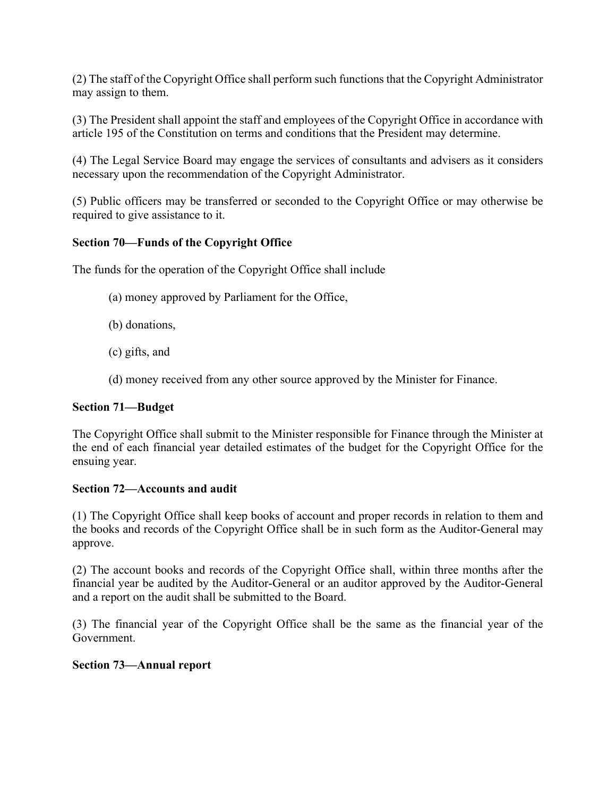(2) The staff of the Copyright Office shall perform such functions that the Copyright Administrator may assign to them.

(3) The President shall appoint the staff and employees of the Copyright Office in accordance with article 195 of the Constitution on terms and conditions that the President may determine.

(4) The Legal Service Board may engage the services of consultants and advisers as it considers necessary upon the recommendation of the Copyright Administrator.

(5) Public officers may be transferred or seconded to the Copyright Office or may otherwise be required to give assistance to it.

## **Section 70—Funds of the Copyright Office**

The funds for the operation of the Copyright Office shall include

- (a) money approved by Parliament for the Office,
- (b) donations,
- (c) gifts, and
- (d) money received from any other source approved by the Minister for Finance.

### **Section 71—Budget**

The Copyright Office shall submit to the Minister responsible for Finance through the Minister at the end of each financial year detailed estimates of the budget for the Copyright Office for the ensuing year.

### **Section 72—Accounts and audit**

(1) The Copyright Office shall keep books of account and proper records in relation to them and the books and records of the Copyright Office shall be in such form as the Auditor-General may approve.

(2) The account books and records of the Copyright Office shall, within three months after the financial year be audited by the Auditor-General or an auditor approved by the Auditor-General and a report on the audit shall be submitted to the Board.

(3) The financial year of the Copyright Office shall be the same as the financial year of the Government.

### **Section 73—Annual report**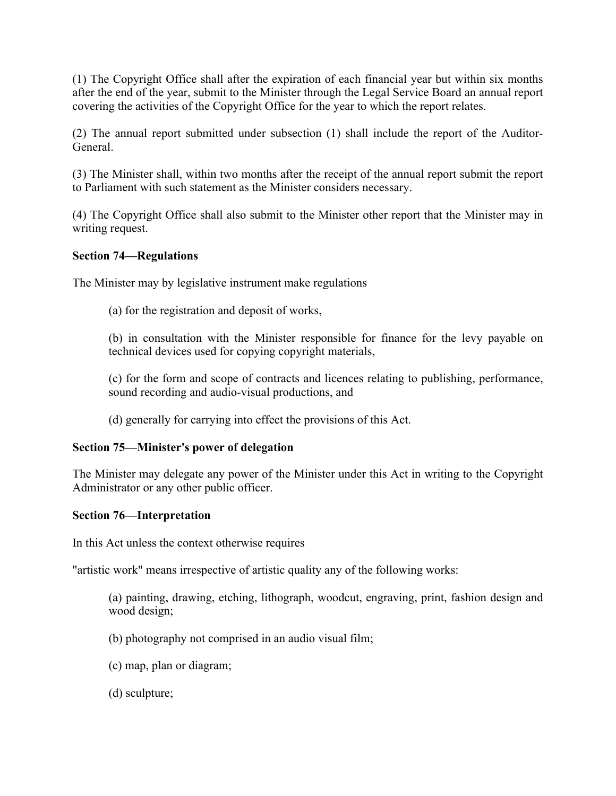(1) The Copyright Office shall after the expiration of each financial year but within six months after the end of the year, submit to the Minister through the Legal Service Board an annual report covering the activities of the Copyright Office for the year to which the report relates.

(2) The annual report submitted under subsection (1) shall include the report of the Auditor-General.

(3) The Minister shall, within two months after the receipt of the annual report submit the report to Parliament with such statement as the Minister considers necessary.

(4) The Copyright Office shall also submit to the Minister other report that the Minister may in writing request.

## **Section 74—Regulations**

The Minister may by legislative instrument make regulations

(a) for the registration and deposit of works,

(b) in consultation with the Minister responsible for finance for the levy payable on technical devices used for copying copyright materials,

(c) for the form and scope of contracts and licences relating to publishing, performance, sound recording and audio-visual productions, and

(d) generally for carrying into effect the provisions of this Act.

### **Section 75—Minister's power of delegation**

The Minister may delegate any power of the Minister under this Act in writing to the Copyright Administrator or any other public officer.

### **Section 76—Interpretation**

In this Act unless the context otherwise requires

"artistic work" means irrespective of artistic quality any of the following works:

(a) painting, drawing, etching, lithograph, woodcut, engraving, print, fashion design and wood design;

- (b) photography not comprised in an audio visual film;
- (c) map, plan or diagram;
- (d) sculpture;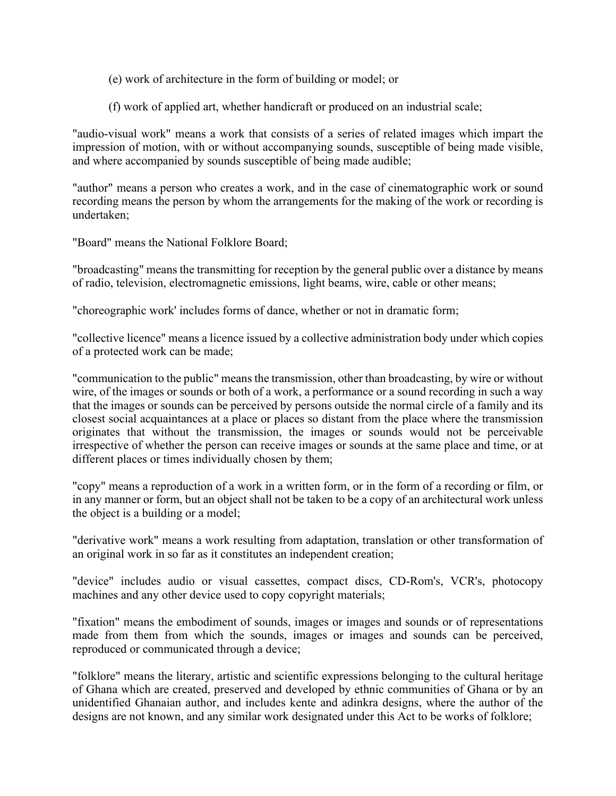(e) work of architecture in the form of building or model; or

(f) work of applied art, whether handicraft or produced on an industrial scale;

"audio-visual work" means a work that consists of a series of related images which impart the impression of motion, with or without accompanying sounds, susceptible of being made visible, and where accompanied by sounds susceptible of being made audible;

"author" means a person who creates a work, and in the case of cinematographic work or sound recording means the person by whom the arrangements for the making of the work or recording is undertaken;

"Board" means the National Folklore Board;

"broadcasting" means the transmitting for reception by the general public over a distance by means of radio, television, electromagnetic emissions, light beams, wire, cable or other means;

"choreographic work' includes forms of dance, whether or not in dramatic form;

"collective licence" means a licence issued by a collective administration body under which copies of a protected work can be made;

"communication to the public" means the transmission, other than broadcasting, by wire or without wire, of the images or sounds or both of a work, a performance or a sound recording in such a way that the images or sounds can be perceived by persons outside the normal circle of a family and its closest social acquaintances at a place or places so distant from the place where the transmission originates that without the transmission, the images or sounds would not be perceivable irrespective of whether the person can receive images or sounds at the same place and time, or at different places or times individually chosen by them;

"copy" means a reproduction of a work in a written form, or in the form of a recording or film, or in any manner or form, but an object shall not be taken to be a copy of an architectural work unless the object is a building or a model;

"derivative work" means a work resulting from adaptation, translation or other transformation of an original work in so far as it constitutes an independent creation;

"device" includes audio or visual cassettes, compact discs, CD-Rom's, VCR's, photocopy machines and any other device used to copy copyright materials;

"fixation" means the embodiment of sounds, images or images and sounds or of representations made from them from which the sounds, images or images and sounds can be perceived, reproduced or communicated through a device;

"folklore" means the literary, artistic and scientific expressions belonging to the cultural heritage of Ghana which are created, preserved and developed by ethnic communities of Ghana or by an unidentified Ghanaian author, and includes kente and adinkra designs, where the author of the designs are not known, and any similar work designated under this Act to be works of folklore;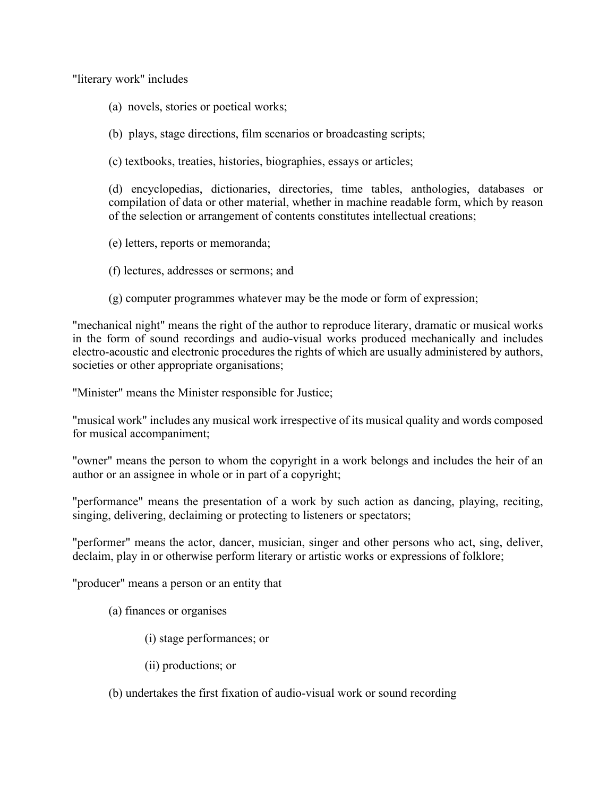"literary work" includes

- (a) novels, stories or poetical works;
- (b) plays, stage directions, film scenarios or broadcasting scripts;
- (c) textbooks, treaties, histories, biographies, essays or articles;

(d) encyclopedias, dictionaries, directories, time tables, anthologies, databases or compilation of data or other material, whether in machine readable form, which by reason of the selection or arrangement of contents constitutes intellectual creations;

- (e) letters, reports or memoranda;
- (f) lectures, addresses or sermons; and
- (g) computer programmes whatever may be the mode or form of expression;

"mechanical night" means the right of the author to reproduce literary, dramatic or musical works in the form of sound recordings and audio-visual works produced mechanically and includes electro-acoustic and electronic procedures the rights of which are usually administered by authors, societies or other appropriate organisations;

"Minister" means the Minister responsible for Justice;

"musical work" includes any musical work irrespective of its musical quality and words composed for musical accompaniment;

"owner" means the person to whom the copyright in a work belongs and includes the heir of an author or an assignee in whole or in part of a copyright;

"performance" means the presentation of a work by such action as dancing, playing, reciting, singing, delivering, declaiming or protecting to listeners or spectators;

"performer" means the actor, dancer, musician, singer and other persons who act, sing, deliver, declaim, play in or otherwise perform literary or artistic works or expressions of folklore;

"producer" means a person or an entity that

- (a) finances or organises
	- (i) stage performances; or
	- (ii) productions; or
- (b) undertakes the first fixation of audio-visual work or sound recording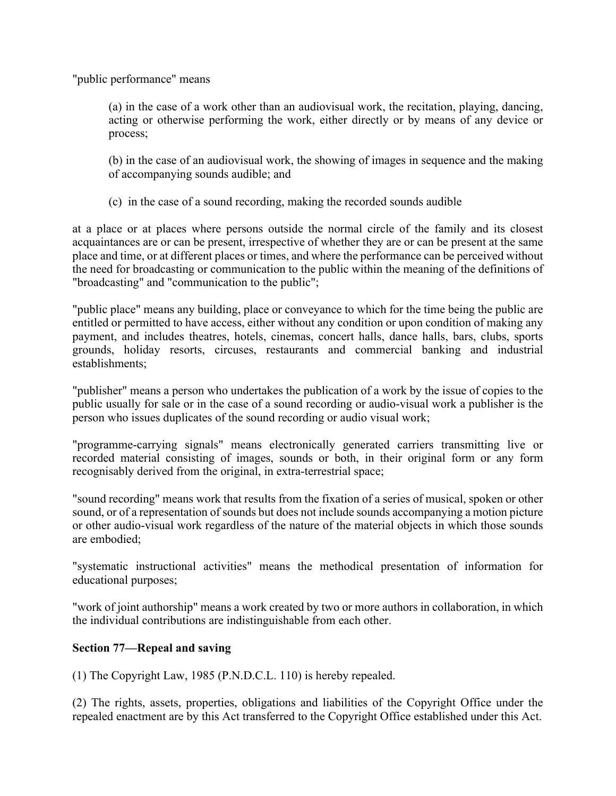"public performance" means

(a) in the case of a work other than an audiovisual work, the recitation, playing, dancing, acting or otherwise performing the work, either directly or by means of any device or process;

(b) in the case of an audiovisual work, the showing of images in sequence and the making of accompanying sounds audible; and

(c) in the case of a sound recording, making the recorded sounds audible

at a place or at places where persons outside the normal circle of the family and its closest acquaintances are or can be present, irrespective of whether they are or can be present at the same place and time, or at different places or times, and where the performance can be perceived without the need for broadcasting or communication to the public within the meaning of the definitions of "broadcasting" and "communication to the public";

"public place" means any building, place or conveyance to which for the time being the public are entitled or permitted to have access, either without any condition or upon condition of making any payment, and includes theatres, hotels, cinemas, concert halls, dance halls, bars, clubs, sports grounds, holiday resorts, circuses, restaurants and commercial banking and industrial establishments;

"publisher" means a person who undertakes the publication of a work by the issue of copies to the public usually for sale or in the case of a sound recording or audio-visual work a publisher is the person who issues duplicates of the sound recording or audio visual work;

"programme-carrying signals" means electronically generated carriers transmitting live or recorded material consisting of images, sounds or both, in their original form or any form recognisably derived from the original, in extra-terrestrial space;

"sound recording" means work that results from the fixation of a series of musical, spoken or other sound, or of a representation of sounds but does not include sounds accompanying a motion picture or other audio-visual work regardless of the nature of the material objects in which those sounds are embodied;

"systematic instructional activities" means the methodical presentation of information for educational purposes;

"work of joint authorship" means a work created by two or more authors in collaboration, in which the individual contributions are indistinguishable from each other.

# **Section 77—Repeal and saving**

(1) The Copyright Law, 1985 (P.N.D.C.L. 110) is hereby repealed.

(2) The rights, assets, properties, obligations and liabilities of the Copyright Office under the repealed enactment are by this Act transferred to the Copyright Office established under this Act.